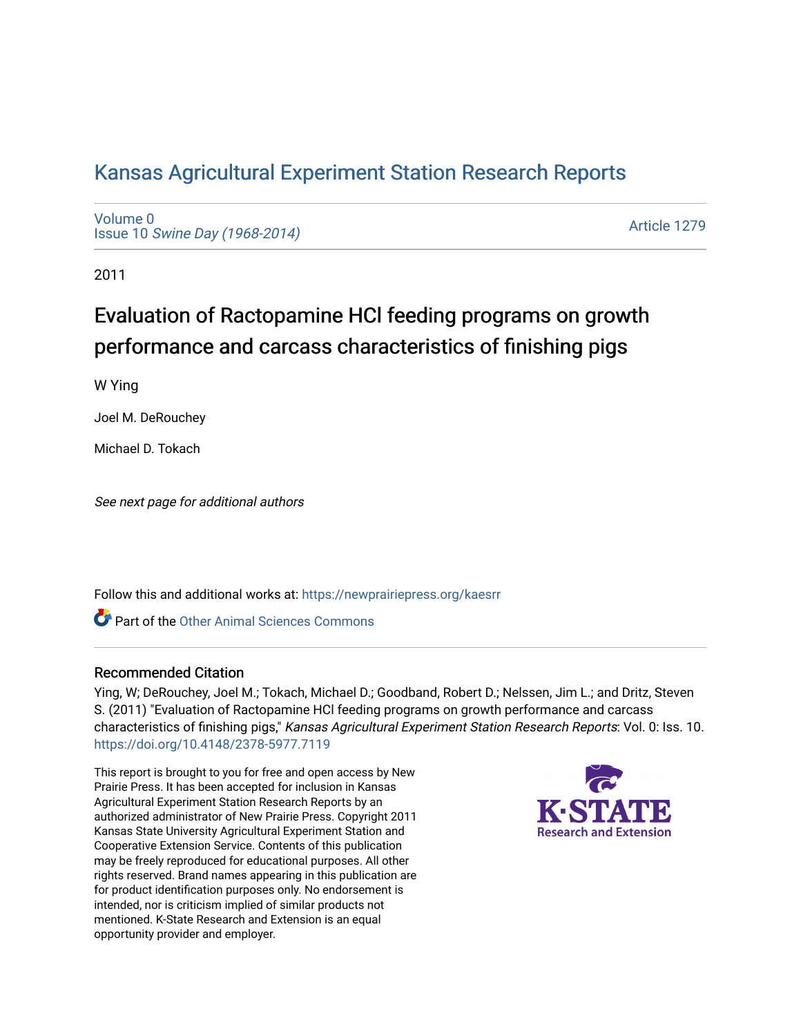# [Kansas Agricultural Experiment Station Research Reports](https://newprairiepress.org/kaesrr)

[Volume 0](https://newprairiepress.org/kaesrr/vol0) Issue 10 [Swine Day \(1968-2014\)](https://newprairiepress.org/kaesrr/vol0/iss10)

[Article 1279](https://newprairiepress.org/kaesrr/vol0/iss10/1279) 

2011

# Evaluation of Ractopamine HCl feeding programs on growth performance and carcass characteristics of finishing pigs

W Ying

Joel M. DeRouchey

Michael D. Tokach

See next page for additional authors

Follow this and additional works at: [https://newprairiepress.org/kaesrr](https://newprairiepress.org/kaesrr?utm_source=newprairiepress.org%2Fkaesrr%2Fvol0%2Fiss10%2F1279&utm_medium=PDF&utm_campaign=PDFCoverPages) 

**C** Part of the [Other Animal Sciences Commons](http://network.bepress.com/hgg/discipline/82?utm_source=newprairiepress.org%2Fkaesrr%2Fvol0%2Fiss10%2F1279&utm_medium=PDF&utm_campaign=PDFCoverPages)

### Recommended Citation

Ying, W; DeRouchey, Joel M.; Tokach, Michael D.; Goodband, Robert D.; Nelssen, Jim L.; and Dritz, Steven S. (2011) "Evaluation of Ractopamine HCl feeding programs on growth performance and carcass characteristics of finishing pigs," Kansas Agricultural Experiment Station Research Reports: Vol. 0: Iss. 10. <https://doi.org/10.4148/2378-5977.7119>

This report is brought to you for free and open access by New Prairie Press. It has been accepted for inclusion in Kansas Agricultural Experiment Station Research Reports by an authorized administrator of New Prairie Press. Copyright 2011 Kansas State University Agricultural Experiment Station and Cooperative Extension Service. Contents of this publication may be freely reproduced for educational purposes. All other rights reserved. Brand names appearing in this publication are for product identification purposes only. No endorsement is intended, nor is criticism implied of similar products not mentioned. K-State Research and Extension is an equal opportunity provider and employer.

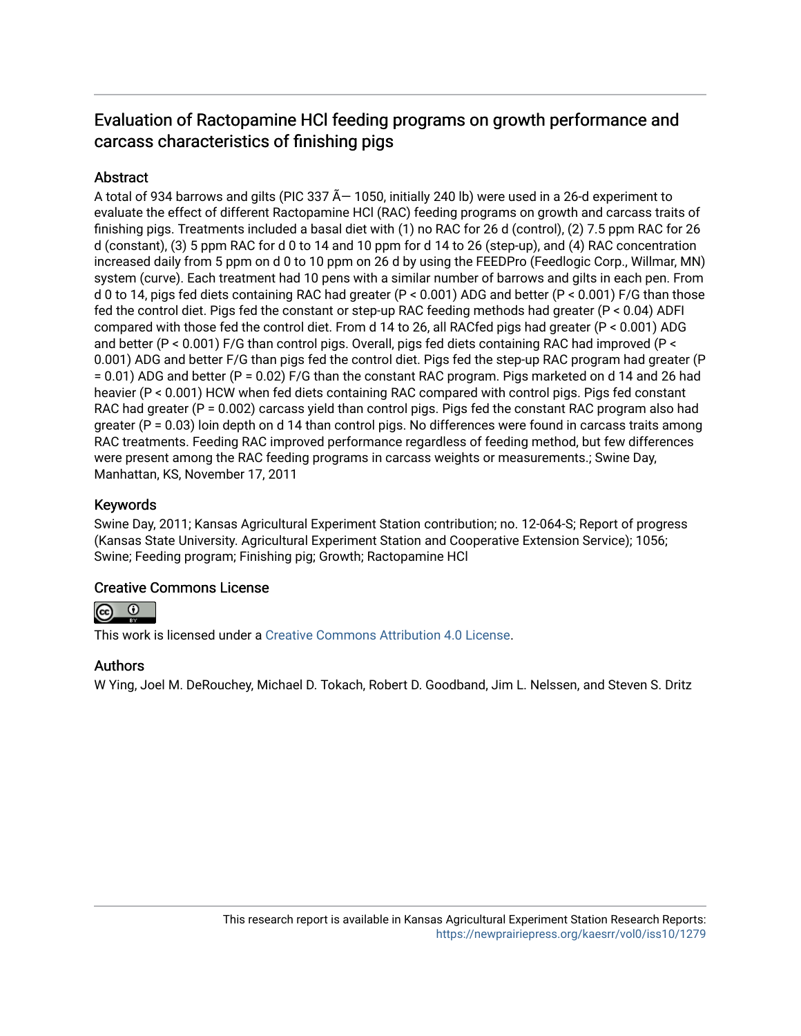## Evaluation of Ractopamine HCl feeding programs on growth performance and carcass characteristics of finishing pigs

### **Abstract**

A total of 934 barrows and gilts (PIC 337  $\tilde{A}$  – 1050, initially 240 lb) were used in a 26-d experiment to evaluate the effect of different Ractopamine HCl (RAC) feeding programs on growth and carcass traits of finishing pigs. Treatments included a basal diet with (1) no RAC for 26 d (control), (2) 7.5 ppm RAC for 26 d (constant), (3) 5 ppm RAC for d 0 to 14 and 10 ppm for d 14 to 26 (step-up), and (4) RAC concentration increased daily from 5 ppm on d 0 to 10 ppm on 26 d by using the FEEDPro (Feedlogic Corp., Willmar, MN) system (curve). Each treatment had 10 pens with a similar number of barrows and gilts in each pen. From d 0 to 14, pigs fed diets containing RAC had greater (P < 0.001) ADG and better (P < 0.001) F/G than those fed the control diet. Pigs fed the constant or step-up RAC feeding methods had greater (P < 0.04) ADFI compared with those fed the control diet. From d 14 to 26, all RACfed pigs had greater (P < 0.001) ADG and better (P < 0.001) F/G than control pigs. Overall, pigs fed diets containing RAC had improved (P < 0.001) ADG and better F/G than pigs fed the control diet. Pigs fed the step-up RAC program had greater (P = 0.01) ADG and better (P = 0.02) F/G than the constant RAC program. Pigs marketed on d 14 and 26 had heavier (P < 0.001) HCW when fed diets containing RAC compared with control pigs. Pigs fed constant RAC had greater (P = 0.002) carcass yield than control pigs. Pigs fed the constant RAC program also had greater ( $P = 0.03$ ) loin depth on d 14 than control pigs. No differences were found in carcass traits among RAC treatments. Feeding RAC improved performance regardless of feeding method, but few differences were present among the RAC feeding programs in carcass weights or measurements.; Swine Day, Manhattan, KS, November 17, 2011

### Keywords

Swine Day, 2011; Kansas Agricultural Experiment Station contribution; no. 12-064-S; Report of progress (Kansas State University. Agricultural Experiment Station and Cooperative Extension Service); 1056; Swine; Feeding program; Finishing pig; Growth; Ractopamine HCl

### Creative Commons License



This work is licensed under a [Creative Commons Attribution 4.0 License](https://creativecommons.org/licenses/by/4.0/).

### Authors

W Ying, Joel M. DeRouchey, Michael D. Tokach, Robert D. Goodband, Jim L. Nelssen, and Steven S. Dritz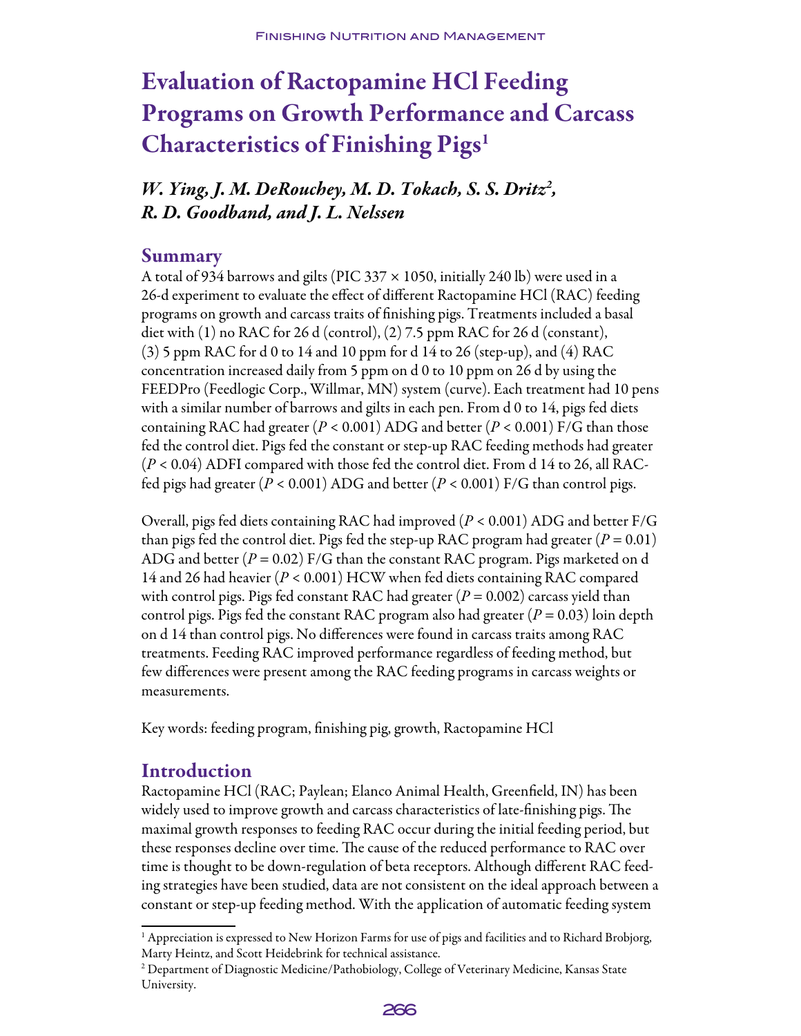# Evaluation of Ractopamine HCl Feeding Programs on Growth Performance and Carcass Characteristics of Finishing Pigs1

*W. Ying, J. M. DeRouchey, M. D. Tokach, S. S. Dritz2 , R. D. Goodband, and J. L. Nelssen*

### Summary

A total of 934 barrows and gilts (PIC 337  $\times$  1050, initially 240 lb) were used in a 26-d experiment to evaluate the effect of different Ractopamine HCl (RAC) feeding programs on growth and carcass traits of finishing pigs. Treatments included a basal diet with (1) no RAC for 26 d (control), (2) 7.5 ppm RAC for 26 d (constant), (3) 5 ppm RAC for d 0 to 14 and 10 ppm for d 14 to 26 (step-up), and (4) RAC concentration increased daily from 5 ppm on d 0 to 10 ppm on 26 d by using the FEEDPro (Feedlogic Corp., Willmar, MN) system (curve). Each treatment had 10 pens with a similar number of barrows and gilts in each pen. From d 0 to 14, pigs fed diets containing RAC had greater (*P* < 0.001) ADG and better (*P* < 0.001) F/G than those fed the control diet. Pigs fed the constant or step-up RAC feeding methods had greater (*P* < 0.04) ADFI compared with those fed the control diet. From d 14 to 26, all RACfed pigs had greater (*P* < 0.001) ADG and better (*P* < 0.001) F/G than control pigs.

Overall, pigs fed diets containing RAC had improved (*P* < 0.001) ADG and better F/G than pigs fed the control diet. Pigs fed the step-up RAC program had greater  $(P = 0.01)$ ADG and better  $(P = 0.02)$  F/G than the constant RAC program. Pigs marketed on d 14 and 26 had heavier (*P* < 0.001) HCW when fed diets containing RAC compared with control pigs. Pigs fed constant RAC had greater  $(P = 0.002)$  carcass yield than control pigs. Pigs fed the constant RAC program also had greater  $(P = 0.03)$  loin depth on d 14 than control pigs. No differences were found in carcass traits among RAC treatments. Feeding RAC improved performance regardless of feeding method, but few differences were present among the RAC feeding programs in carcass weights or measurements.

Key words: feeding program, finishing pig, growth, Ractopamine HCl

### Introduction

Ractopamine HCl (RAC; Paylean; Elanco Animal Health, Greenfield, IN) has been widely used to improve growth and carcass characteristics of late-finishing pigs. The maximal growth responses to feeding RAC occur during the initial feeding period, but these responses decline over time. The cause of the reduced performance to RAC over time is thought to be down-regulation of beta receptors. Although different RAC feeding strategies have been studied, data are not consistent on the ideal approach between a constant or step-up feeding method. With the application of automatic feeding system

<sup>&</sup>lt;sup>2</sup> Department of Diagnostic Medicine/Pathobiology, College of Veterinary Medicine, Kansas State University.



<sup>&</sup>lt;sup>1</sup> Appreciation is expressed to New Horizon Farms for use of pigs and facilities and to Richard Brobjorg, Marty Heintz, and Scott Heidebrink for technical assistance.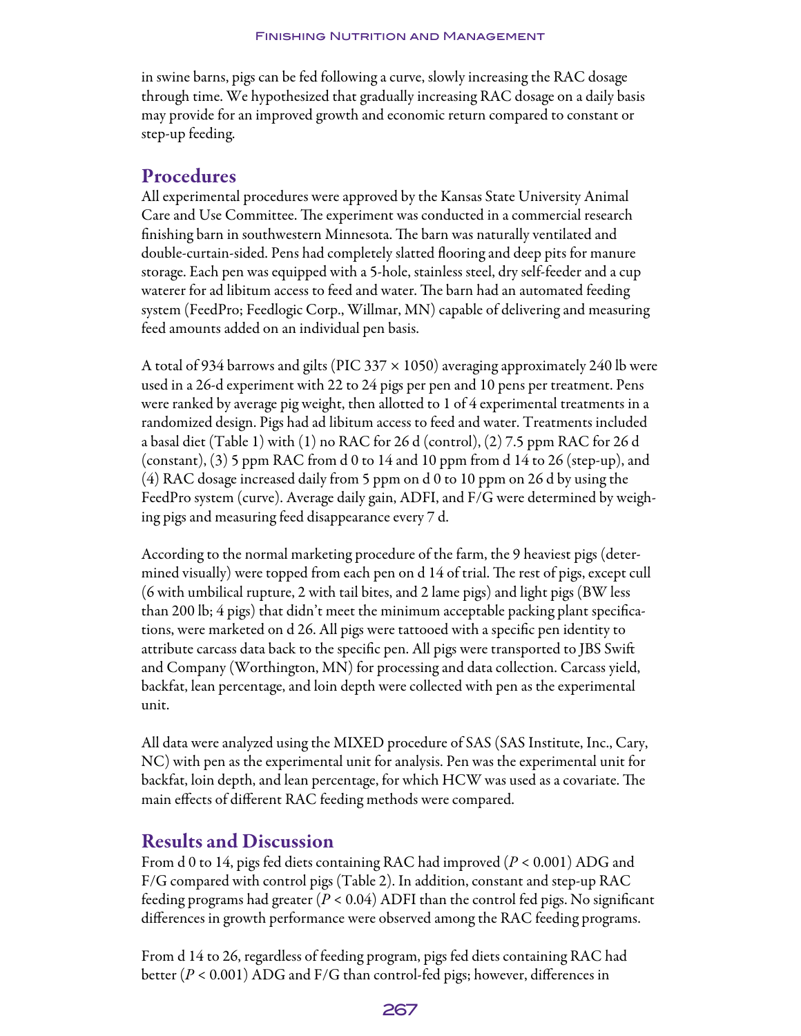in swine barns, pigs can be fed following a curve, slowly increasing the RAC dosage through time. We hypothesized that gradually increasing RAC dosage on a daily basis may provide for an improved growth and economic return compared to constant or step-up feeding.

### Procedures

All experimental procedures were approved by the Kansas State University Animal Care and Use Committee. The experiment was conducted in a commercial research finishing barn in southwestern Minnesota. The barn was naturally ventilated and double-curtain-sided. Pens had completely slatted flooring and deep pits for manure storage. Each pen was equipped with a 5-hole, stainless steel, dry self-feeder and a cup waterer for ad libitum access to feed and water. The barn had an automated feeding system (FeedPro; Feedlogic Corp., Willmar, MN) capable of delivering and measuring feed amounts added on an individual pen basis.

A total of 934 barrows and gilts (PIC 337  $\times$  1050) averaging approximately 240 lb were used in a 26-d experiment with 22 to 24 pigs per pen and 10 pens per treatment. Pens were ranked by average pig weight, then allotted to 1 of 4 experimental treatments in a randomized design. Pigs had ad libitum access to feed and water. Treatments included a basal diet (Table 1) with (1) no RAC for 26 d (control), (2) 7.5 ppm RAC for 26 d (constant),  $(3)$  5 ppm RAC from d 0 to 14 and 10 ppm from d 14 to 26 (step-up), and (4) RAC dosage increased daily from 5 ppm on d 0 to 10 ppm on 26 d by using the FeedPro system (curve). Average daily gain, ADFI, and F/G were determined by weighing pigs and measuring feed disappearance every 7 d.

According to the normal marketing procedure of the farm, the 9 heaviest pigs (determined visually) were topped from each pen on d 14 of trial. The rest of pigs, except cull (6 with umbilical rupture, 2 with tail bites, and 2 lame pigs) and light pigs (BW less than 200 lb; 4 pigs) that didn't meet the minimum acceptable packing plant specifications, were marketed on d 26. All pigs were tattooed with a specific pen identity to attribute carcass data back to the specific pen. All pigs were transported to JBS Swift and Company (Worthington, MN) for processing and data collection. Carcass yield, backfat, lean percentage, and loin depth were collected with pen as the experimental unit.

All data were analyzed using the MIXED procedure of SAS (SAS Institute, Inc., Cary, NC) with pen as the experimental unit for analysis. Pen was the experimental unit for backfat, loin depth, and lean percentage, for which HCW was used as a covariate. The main effects of different RAC feeding methods were compared.

### Results and Discussion

From d 0 to 14, pigs fed diets containing RAC had improved (*P* < 0.001) ADG and F/G compared with control pigs (Table 2). In addition, constant and step-up RAC feeding programs had greater (*P* < 0.04) ADFI than the control fed pigs. No significant differences in growth performance were observed among the RAC feeding programs.

From d 14 to 26, regardless of feeding program, pigs fed diets containing RAC had better (*P* < 0.001) ADG and F/G than control-fed pigs; however, differences in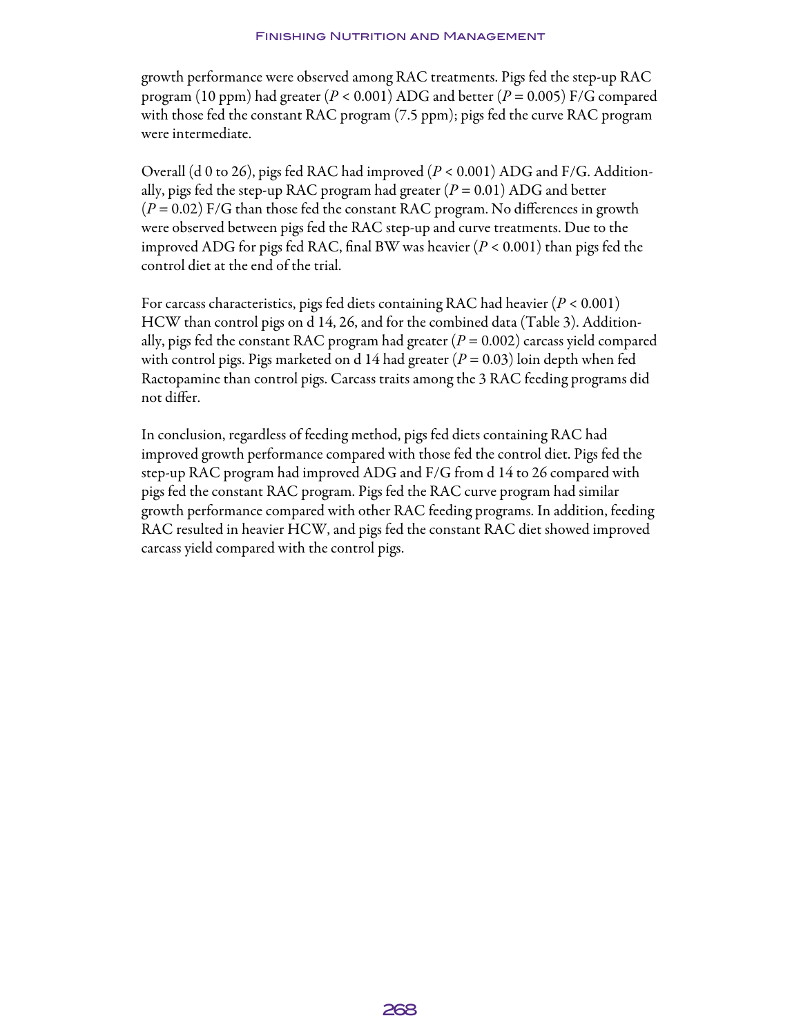growth performance were observed among RAC treatments. Pigs fed the step-up RAC program (10 ppm) had greater (*P* < 0.001) ADG and better (*P* = 0.005) F/G compared with those fed the constant RAC program (7.5 ppm); pigs fed the curve RAC program were intermediate.

Overall (d 0 to 26), pigs fed RAC had improved (*P* < 0.001) ADG and F/G. Additionally, pigs fed the step-up RAC program had greater  $(P = 0.01)$  ADG and better (*P* = 0.02) F/G than those fed the constant RAC program. No differences in growth were observed between pigs fed the RAC step-up and curve treatments. Due to the improved ADG for pigs fed RAC, final BW was heavier (*P* < 0.001) than pigs fed the control diet at the end of the trial.

For carcass characteristics, pigs fed diets containing RAC had heavier (*P* < 0.001) HCW than control pigs on d 14, 26, and for the combined data (Table 3). Additionally, pigs fed the constant RAC program had greater  $(P = 0.002)$  carcass yield compared with control pigs. Pigs marketed on d 14 had greater  $(P = 0.03)$  loin depth when fed Ractopamine than control pigs. Carcass traits among the 3 RAC feeding programs did not differ.

In conclusion, regardless of feeding method, pigs fed diets containing RAC had improved growth performance compared with those fed the control diet. Pigs fed the step-up RAC program had improved ADG and F/G from d 14 to 26 compared with pigs fed the constant RAC program. Pigs fed the RAC curve program had similar growth performance compared with other RAC feeding programs. In addition, feeding RAC resulted in heavier HCW, and pigs fed the constant RAC diet showed improved carcass yield compared with the control pigs.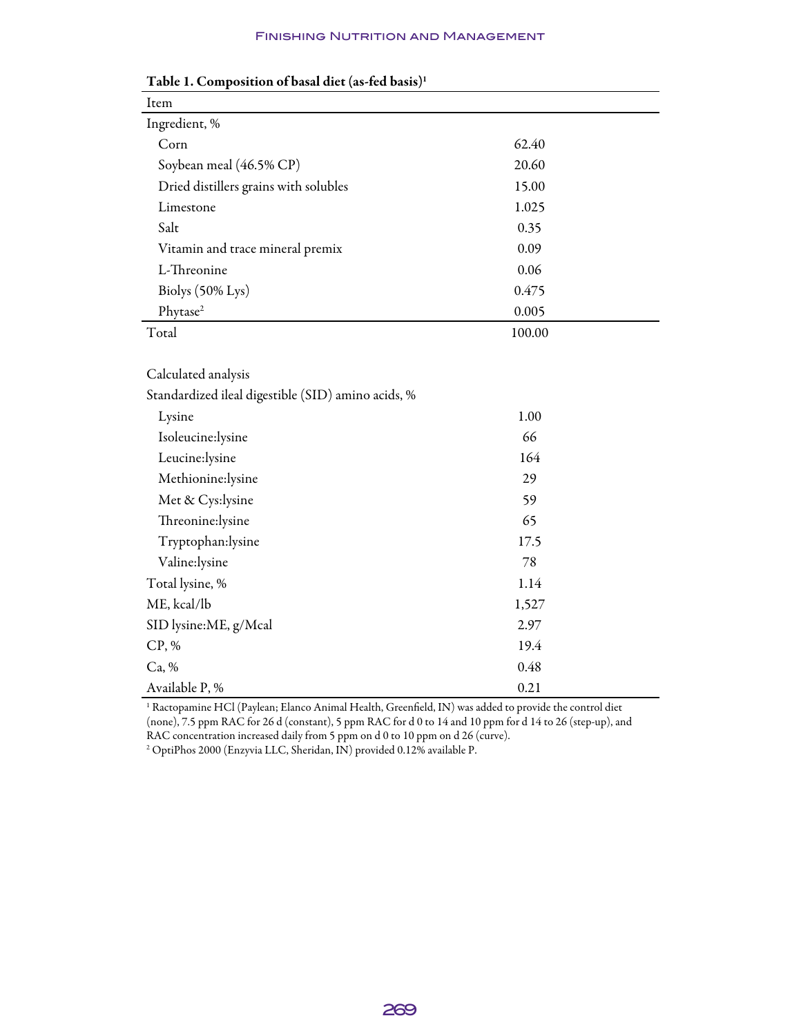#### Finishing Nutrition and Management

| Item                                               |        |
|----------------------------------------------------|--------|
| Ingredient, %                                      |        |
| Corn                                               | 62.40  |
| Soybean meal (46.5% CP)                            | 20.60  |
| Dried distillers grains with solubles              | 15.00  |
| Limestone                                          | 1.025  |
| Salt                                               | 0.35   |
| Vitamin and trace mineral premix                   | 0.09   |
| L-Threonine                                        | 0.06   |
| Biolys $(50\% \text{ Lys})$                        | 0.475  |
| Phytase <sup>2</sup>                               | 0.005  |
| Total                                              | 100.00 |
|                                                    |        |
| Calculated analysis                                |        |
| Standardized ileal digestible (SID) amino acids, % |        |

### Table 1. Composition of basal diet (as-fed basis)1

| Standardized ileal digestible (SID) amino acids, % |       |  |
|----------------------------------------------------|-------|--|
| Lysine                                             | 1.00  |  |
| Isoleucine:lysine                                  | 66    |  |
| Leucine: lysine                                    | 164   |  |
| Methionine:lysine                                  | 29    |  |
| Met & Cys:lysine                                   | 59    |  |
| Threonine:lysine                                   | 65    |  |
| Tryptophan:lysine                                  | 17.5  |  |
| Valine:lysine                                      | 78    |  |
| Total lysine, %                                    | 1.14  |  |
| ME, kcal/lb                                        | 1,527 |  |
| SID lysine:ME, g/Mcal                              | 2.97  |  |
| CP, %                                              | 19.4  |  |
| Ca, %                                              | 0.48  |  |
| Available P, %                                     | 0.21  |  |

<sup>1</sup> Ractopamine HCl (Paylean; Elanco Animal Health, Greenfield, IN) was added to provide the control diet (none), 7.5 ppm RAC for 26 d (constant), 5 ppm RAC for d 0 to 14 and 10 ppm for d 14 to 26 (step-up), and RAC concentration increased daily from 5 ppm on d 0 to 10 ppm on d 26 (curve).

2 OptiPhos 2000 (Enzyvia LLC, Sheridan, IN) provided 0.12% available P.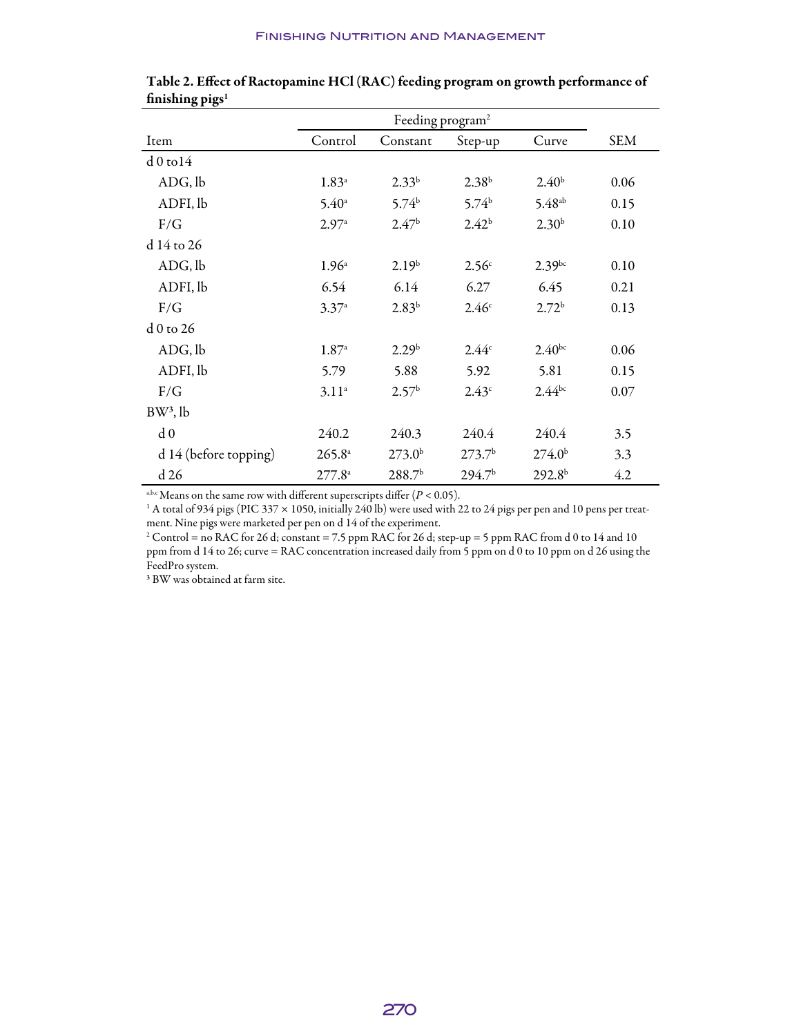| 010                   | Feeding program <sup>2</sup> |                    |                    |                    |            |
|-----------------------|------------------------------|--------------------|--------------------|--------------------|------------|
| Item                  | Control                      | Constant           | Step-up            | Curve              | <b>SEM</b> |
| $d0$ to $14$          |                              |                    |                    |                    |            |
| ADG, lb               | $1.83^{\circ}$               | $2.33^{b}$         | 2.38 <sup>b</sup>  | 2.40 <sup>b</sup>  | 0.06       |
| ADFI, lb              | $5.40^{\circ}$               | 5.74 <sup>b</sup>  | 5.74 <sup>b</sup>  | $5.48^{ab}$        | 0.15       |
| F/G                   | 2.97a                        | 2.47 <sup>b</sup>  | $2.42^{b}$         | 2.30 <sup>b</sup>  | 0.10       |
| d 14 to 26            |                              |                    |                    |                    |            |
| ADG, lb               | $1.96^{\circ}$               | 2.19 <sup>b</sup>  | 2.56 <sup>c</sup>  | $2.39^{bc}$        | 0.10       |
| ADFI, lb              | 6.54                         | 6.14               | 6.27               | 6.45               | 0.21       |
| F/G                   | 3.37a                        | $2.83^{b}$         | 2.46 <sup>c</sup>  | 2.72 <sup>b</sup>  | 0.13       |
| d 0 to 26             |                              |                    |                    |                    |            |
| ADG, lb               | $1.87^{\circ}$               | 2.29 <sup>b</sup>  | 2.44c              | $2.40^{bc}$        | 0.06       |
| ADFI, lb              | 5.79                         | 5.88               | 5.92               | 5.81               | 0.15       |
| F/G                   | $3.11^{a}$                   | 2.57 <sup>b</sup>  | 2.43 <sup>c</sup>  | $2.44^{bc}$        | 0.07       |
| $BW^3$ , lb           |                              |                    |                    |                    |            |
| d <sub>0</sub>        | 240.2                        | 240.3              | 240.4              | 240.4              | 3.5        |
| d 14 (before topping) | $265.8^{\circ}$              | 273.0 <sup>b</sup> | 273.7 <sup>b</sup> | 274.0 <sup>b</sup> | 3.3        |
| d 26                  | $277.8^{\circ}$              | 288.7 <sup>b</sup> | 294.7 <sup>b</sup> | 292.8 <sup>b</sup> | 4.2        |

| finishing $\boldsymbol{p}$ igs <sup>1</sup> | Table 2. Effect of Ractopamine HCl (RAC) feeding program on growth performance of |  |
|---------------------------------------------|-----------------------------------------------------------------------------------|--|
|                                             |                                                                                   |  |

a,b,c Means on the same row with different superscripts differ  $(P < 0.05)$ .

1 A total of 934 pigs (PIC 337 × 1050, initially 240 lb) were used with 22 to 24 pigs per pen and 10 pens per treatment. Nine pigs were marketed per pen on d 14 of the experiment.

2 Control = no RAC for 26 d; constant = 7.5 ppm RAC for 26 d; step-up = 5 ppm RAC from d 0 to 14 and 10 ppm from d 14 to 26; curve = RAC concentration increased daily from 5 ppm on d 0 to 10 ppm on d 26 using the FeedPro system.

3 BW was obtained at farm site.